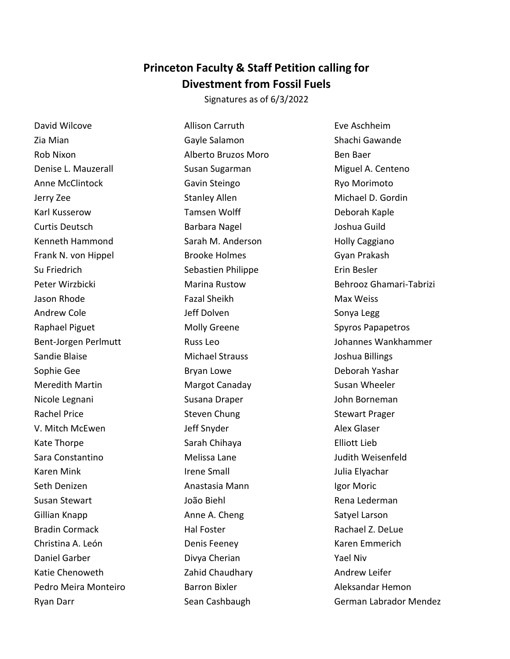## **Princeton Faculty & Staff Petition calling for Divestment from Fossil Fuels**

Signatures as of 6/3/2022

David Wilcove Zia Mian Rob Nixon Denise L. Mauzerall Anne McClintock Jerry Zee Karl Kusserow Curtis Deutsch Kenneth Hammond Frank N. von Hippel Su Friedrich Peter Wirzbicki Jason Rhode Andrew Cole Raphael Piguet Bent-Jorgen Perlmutt Sandie Blaise Sophie Gee Meredith Martin Nicole Legnani Rachel Price V. Mitch McEwen Kate Thorpe Sara Constantino Karen Mink Seth Denizen Susan Stewart Gillian Knapp Bradin Cormack Christina A. León Daniel Garber Katie Chenoweth Pedro Meira Monteiro Ryan Darr

Allison Carruth Gayle Salamon Alberto Bruzos Moro Susan Sugarman Gavin Steingo Stanley Allen Tamsen Wolff Barbara Nagel Sarah M. Anderson Brooke Holmes Sebastien Philippe Marina Rustow Fazal Sheikh Jeff Dolven Molly Greene Russ Leo Michael Strauss Bryan Lowe Margot Canaday Susana Draper Steven Chung Jeff Snyder Sarah Chihaya Melissa Lane Irene Small Anastasia Mann João Biehl Anne A. Cheng Hal Foster Denis Feeney Divya Cherian Zahid Chaudhary Barron Bixler Sean Cashbaugh

Eve Aschheim Shachi Gawande Ben Baer Miguel A. Centeno Ryo Morimoto Michael D. Gordin Deborah Kaple Joshua Guild Holly Caggiano Gyan Prakash Erin Besler Behrooz Ghamari-Tabrizi Max Weiss Sonya Legg Spyros Papapetros Johannes Wankhammer Joshua Billings Deborah Yashar Susan Wheeler John Borneman Stewart Prager Alex Glaser Elliott Lieb Judith Weisenfeld Julia Elyachar Igor Moric Rena Lederman Satyel Larson Rachael Z. DeLue Karen Emmerich Yael Niv Andrew Leifer Aleksandar Hemon German Labrador Mendez